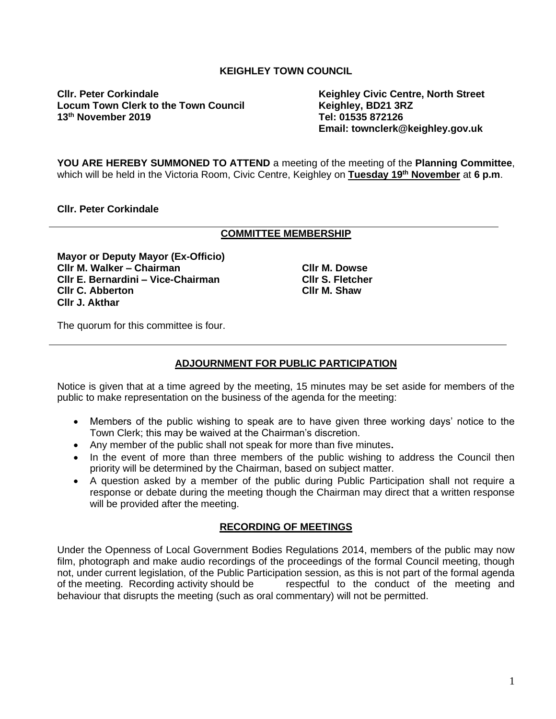# **KEIGHLEY TOWN COUNCIL**

**Cllr. Peter Corkindale Keighley Civic Centre, North Street** Locum Town Clerk to the Town Council **Read of the Keighley, BD21 3R**<br>Tel: 01535 872126 **13<sup>th</sup> November 2019** 

**Email: townclerk@keighley.gov.uk**

**YOU ARE HEREBY SUMMONED TO ATTEND** a meeting of the meeting of the **Planning Committee**, which will be held in the Victoria Room, Civic Centre, Keighley on **Tuesday 19th November** at **6 p.m**.

### **Cllr. Peter Corkindale**

#### **COMMITTEE MEMBERSHIP**

**Mayor or Deputy Mayor (Ex-Officio) Cllr M. Walker – Chairman Cllr E. Bernardini – Vice-Chairman Cllr C. Abberton Cllr J. Akthar**

**Cllr M. Dowse Cllr S. Fletcher Cllr M. Shaw**

The quorum for this committee is four.

# **ADJOURNMENT FOR PUBLIC PARTICIPATION**

Notice is given that at a time agreed by the meeting, 15 minutes may be set aside for members of the public to make representation on the business of the agenda for the meeting:

- Members of the public wishing to speak are to have given three working days' notice to the Town Clerk; this may be waived at the Chairman's discretion.
- Any member of the public shall not speak for more than five minutes**.**
- In the event of more than three members of the public wishing to address the Council then priority will be determined by the Chairman, based on subject matter.
- A question asked by a member of the public during Public Participation shall not require a response or debate during the meeting though the Chairman may direct that a written response will be provided after the meeting.

#### **RECORDING OF MEETINGS**

Under the Openness of Local Government Bodies Regulations 2014, members of the public may now film, photograph and make audio recordings of the proceedings of the formal Council meeting, though not, under current legislation, of the Public Participation session, as this is not part of the formal agenda of the meeting. Recording activity should be respectful to the conduct of the meeting and behaviour that disrupts the meeting (such as oral commentary) will not be permitted.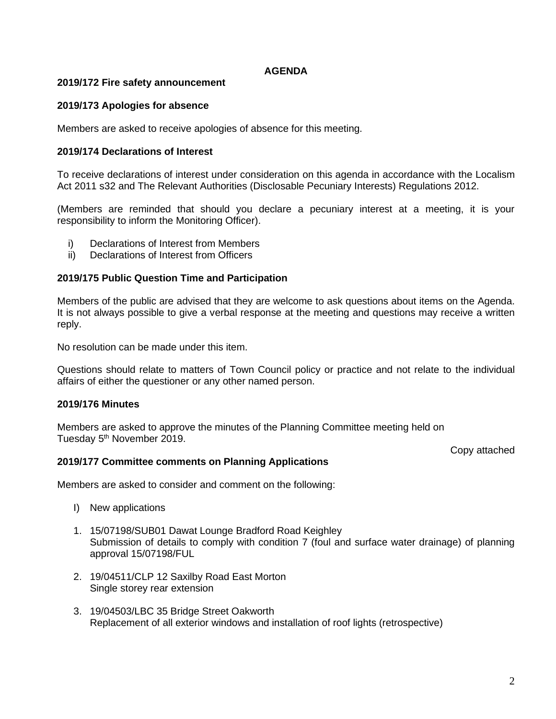### **AGENDA**

### **2019/172 Fire safety announcement**

### **2019/173 Apologies for absence**

Members are asked to receive apologies of absence for this meeting.

#### **2019/174 Declarations of Interest**

To receive declarations of interest under consideration on this agenda in accordance with the Localism Act 2011 s32 and The Relevant Authorities (Disclosable Pecuniary Interests) Regulations 2012.

(Members are reminded that should you declare a pecuniary interest at a meeting, it is your responsibility to inform the Monitoring Officer).

- i) Declarations of Interest from Members
- ii) Declarations of Interest from Officers

### **2019/175 Public Question Time and Participation**

Members of the public are advised that they are welcome to ask questions about items on the Agenda. It is not always possible to give a verbal response at the meeting and questions may receive a written reply.

No resolution can be made under this item.

Questions should relate to matters of Town Council policy or practice and not relate to the individual affairs of either the questioner or any other named person.

### **2019/176 Minutes**

Members are asked to approve the minutes of the Planning Committee meeting held on Tuesday 5<sup>th</sup> November 2019.

Copy attached

#### **2019/177 Committee comments on Planning Applications**

Members are asked to consider and comment on the following:

- I) New applications
- 1. 15/07198/SUB01 Dawat Lounge Bradford Road Keighley Submission of details to comply with condition 7 (foul and surface water drainage) of planning approval 15/07198/FUL
- 2. 19/04511/CLP 12 Saxilby Road East Morton Single storey rear extension
- 3. 19/04503/LBC 35 Bridge Street Oakworth Replacement of all exterior windows and installation of roof lights (retrospective)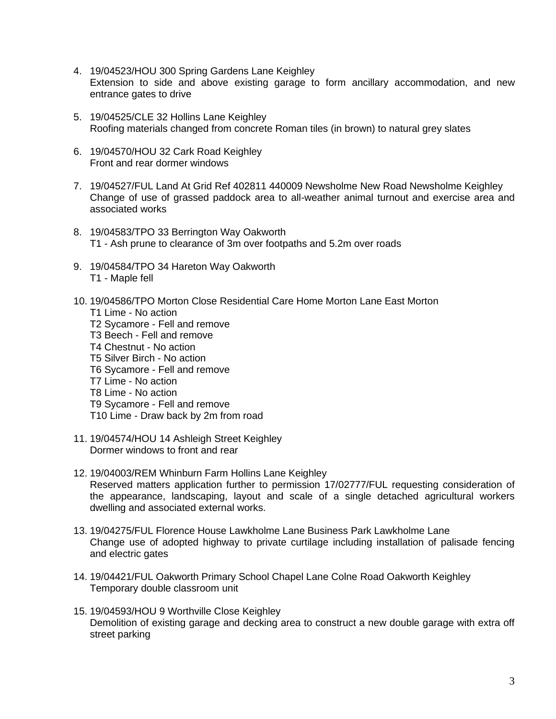- 4. 19/04523/HOU 300 Spring Gardens Lane Keighley Extension to side and above existing garage to form ancillary accommodation, and new entrance gates to drive
- 5. 19/04525/CLE 32 Hollins Lane Keighley Roofing materials changed from concrete Roman tiles (in brown) to natural grey slates
- 6. 19/04570/HOU 32 Cark Road Keighley Front and rear dormer windows
- 7. 19/04527/FUL Land At Grid Ref 402811 440009 Newsholme New Road Newsholme Keighley Change of use of grassed paddock area to all-weather animal turnout and exercise area and associated works
- 8. 19/04583/TPO 33 Berrington Way Oakworth T1 - Ash prune to clearance of 3m over footpaths and 5.2m over roads
- 9. 19/04584/TPO 34 Hareton Way Oakworth T1 - Maple fell
- 10. 19/04586/TPO Morton Close Residential Care Home Morton Lane East Morton
	- T1 Lime No action
	- T2 Sycamore Fell and remove
	- T3 Beech Fell and remove
	- T4 Chestnut No action
	- T5 Silver Birch No action
	- T6 Sycamore Fell and remove
	- T7 Lime No action
	- T8 Lime No action
	- T9 Sycamore Fell and remove
	- T10 Lime Draw back by 2m from road
- 11. 19/04574/HOU 14 Ashleigh Street Keighley Dormer windows to front and rear
- 12. 19/04003/REM Whinburn Farm Hollins Lane Keighley Reserved matters application further to permission 17/02777/FUL requesting consideration of the appearance, landscaping, layout and scale of a single detached agricultural workers dwelling and associated external works.
- 13. 19/04275/FUL Florence House Lawkholme Lane Business Park Lawkholme Lane Change use of adopted highway to private curtilage including installation of palisade fencing and electric gates
- 14. 19/04421/FUL Oakworth Primary School Chapel Lane Colne Road Oakworth Keighley Temporary double classroom unit
- 15. 19/04593/HOU 9 Worthville Close Keighley Demolition of existing garage and decking area to construct a new double garage with extra off street parking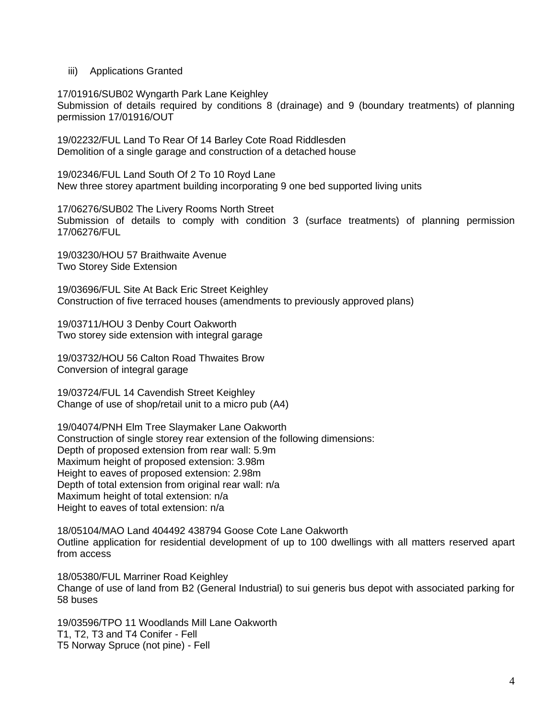### iii) Applications Granted

17/01916/SUB02 Wyngarth Park Lane Keighley

Submission of details required by conditions 8 (drainage) and 9 (boundary treatments) of planning permission 17/01916/OUT

19/02232/FUL Land To Rear Of 14 Barley Cote Road Riddlesden Demolition of a single garage and construction of a detached house

19/02346/FUL Land South Of 2 To 10 Royd Lane New three storey apartment building incorporating 9 one bed supported living units

17/06276/SUB02 The Livery Rooms North Street Submission of details to comply with condition 3 (surface treatments) of planning permission 17/06276/FUL

19/03230/HOU 57 Braithwaite Avenue Two Storey Side Extension

19/03696/FUL Site At Back Eric Street Keighley Construction of five terraced houses (amendments to previously approved plans)

19/03711/HOU 3 Denby Court Oakworth Two storey side extension with integral garage

19/03732/HOU 56 Calton Road Thwaites Brow Conversion of integral garage

19/03724/FUL 14 Cavendish Street Keighley Change of use of shop/retail unit to a micro pub (A4)

19/04074/PNH Elm Tree Slaymaker Lane Oakworth Construction of single storey rear extension of the following dimensions: Depth of proposed extension from rear wall: 5.9m Maximum height of proposed extension: 3.98m Height to eaves of proposed extension: 2.98m Depth of total extension from original rear wall: n/a Maximum height of total extension: n/a Height to eaves of total extension: n/a

18/05104/MAO Land 404492 438794 Goose Cote Lane Oakworth Outline application for residential development of up to 100 dwellings with all matters reserved apart from access

18/05380/FUL Marriner Road Keighley Change of use of land from B2 (General Industrial) to sui generis bus depot with associated parking for 58 buses

19/03596/TPO 11 Woodlands Mill Lane Oakworth T1, T2, T3 and T4 Conifer - Fell T5 Norway Spruce (not pine) - Fell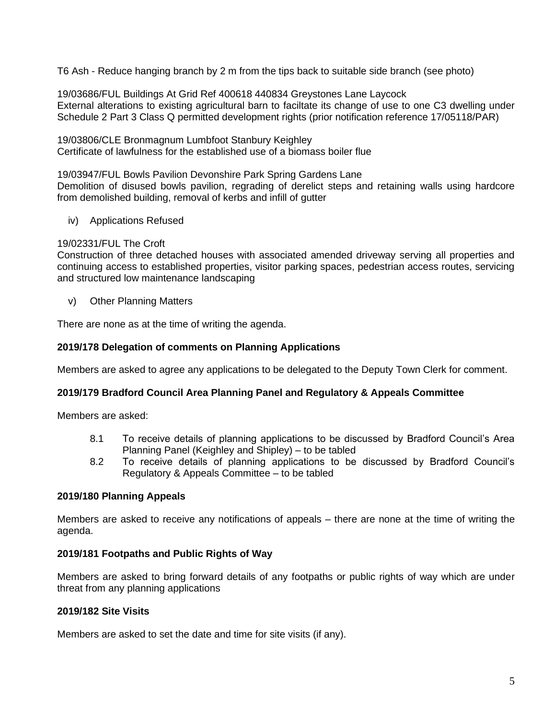T6 Ash - Reduce hanging branch by 2 m from the tips back to suitable side branch (see photo)

19/03686/FUL Buildings At Grid Ref 400618 440834 Greystones Lane Laycock External alterations to existing agricultural barn to faciltate its change of use to one C3 dwelling under Schedule 2 Part 3 Class Q permitted development rights (prior notification reference 17/05118/PAR)

19/03806/CLE Bronmagnum Lumbfoot Stanbury Keighley Certificate of lawfulness for the established use of a biomass boiler flue

19/03947/FUL Bowls Pavilion Devonshire Park Spring Gardens Lane Demolition of disused bowls pavilion, regrading of derelict steps and retaining walls using hardcore from demolished building, removal of kerbs and infill of gutter

iv) Applications Refused

# 19/02331/FUL The Croft

Construction of three detached houses with associated amended driveway serving all properties and continuing access to established properties, visitor parking spaces, pedestrian access routes, servicing and structured low maintenance landscaping

v) Other Planning Matters

There are none as at the time of writing the agenda.

# **2019/178 Delegation of comments on Planning Applications**

Members are asked to agree any applications to be delegated to the Deputy Town Clerk for comment.

# **2019/179 Bradford Council Area Planning Panel and Regulatory & Appeals Committee**

Members are asked:

- 8.1 To receive details of planning applications to be discussed by Bradford Council's Area Planning Panel (Keighley and Shipley) – to be tabled
- 8.2 To receive details of planning applications to be discussed by Bradford Council's Regulatory & Appeals Committee – to be tabled

# **2019/180 Planning Appeals**

Members are asked to receive any notifications of appeals – there are none at the time of writing the agenda.

# **2019/181 Footpaths and Public Rights of Way**

Members are asked to bring forward details of any footpaths or public rights of way which are under threat from any planning applications

# **2019/182 Site Visits**

Members are asked to set the date and time for site visits (if any).